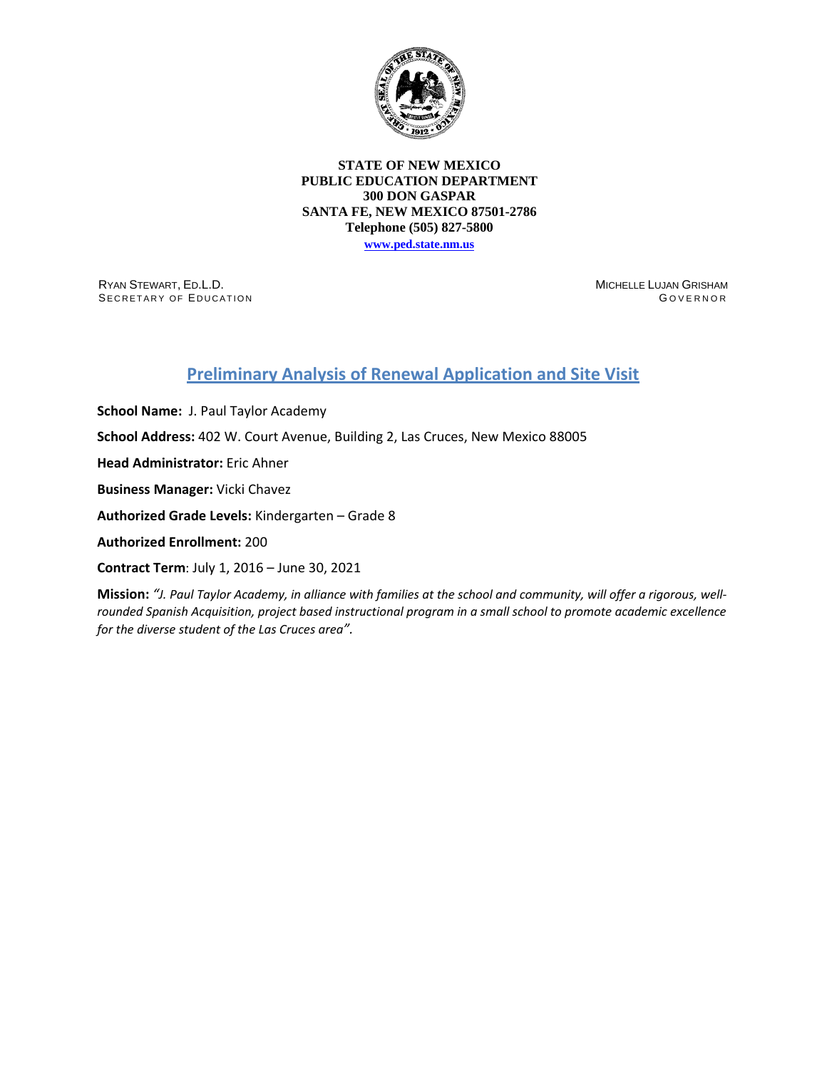

## **STATE OF NEW MEXICO PUBLIC EDUCATION DEPARTMENT 300 DON GASPAR SANTA FE, NEW MEXICO 87501-2786 Telephone (505) 827-5800**

**[www.ped.state.nm.us](http://webnew.ped.state.nm.us/)**

RYAN STEWART, ED.L.D. SECRETARY OF EDUCATION MICHELLE LUJAN GRISHAM G OVERNOR

## **Preliminary Analysis of Renewal Application and Site Visit**

**School Name:** J. Paul Taylor Academy **School Address:** 402 W. Court Avenue, Building 2, Las Cruces, New Mexico 88005 **Head Administrator:** Eric Ahner **Business Manager:** Vicki Chavez **Authorized Grade Levels:** Kindergarten – Grade 8 **Authorized Enrollment:** 200 **Contract Term**: July 1, 2016 – June 30, 2021

**Mission:** *"J. Paul Taylor Academy, in alliance with families at the school and community, will offer a rigorous, wellrounded Spanish Acquisition, project based instructional program in a small school to promote academic excellence for the diverse student of the Las Cruces area".*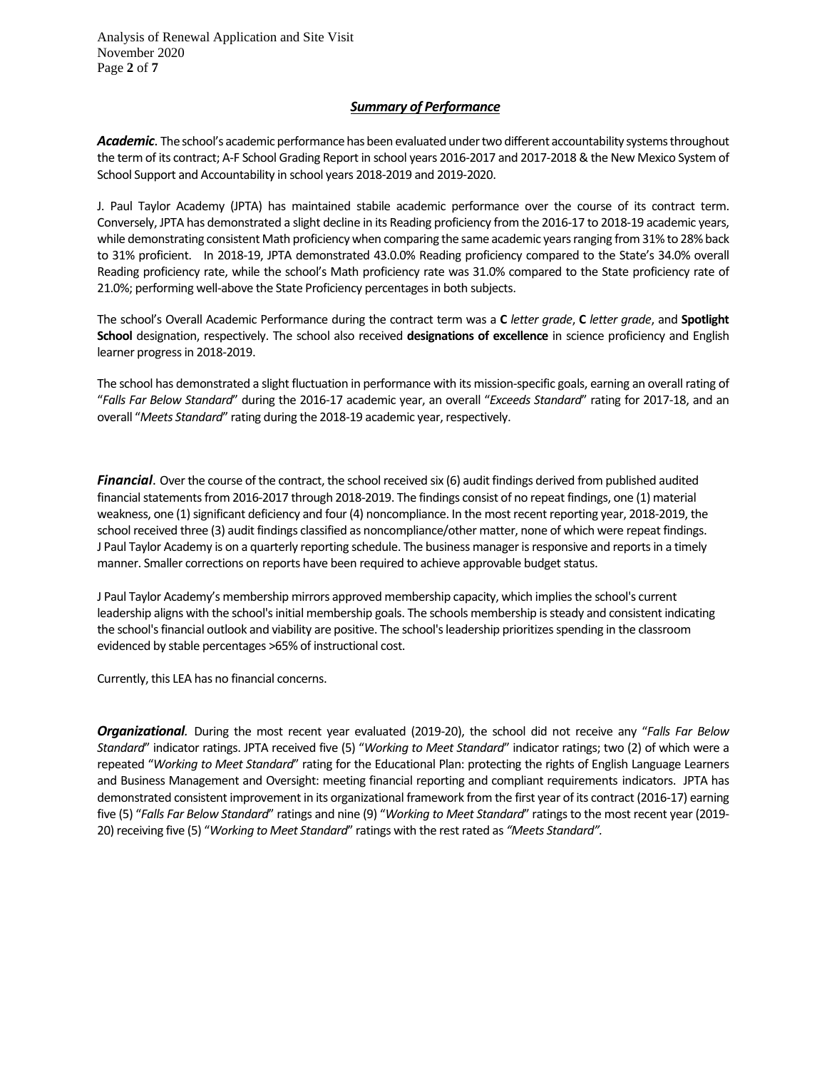Analysis of Renewal Application and Site Visit November 2020 Page **2** of **7**

## *Summary of Performance*

Academic. The school's academic performance has been evaluated under two different accountability systems throughout the term of its contract; A-F School Grading Report in school years 2016-2017 and 2017-2018 & the New Mexico System of School Support and Accountability in school years 2018-2019 and 2019-2020.

J. Paul Taylor Academy (JPTA) has maintained stabile academic performance over the course of its contract term. Conversely, JPTA has demonstrated a slight decline in its Reading proficiency from the 2016-17 to 2018-19 academic years, while demonstrating consistent Math proficiency when comparing the same academic years ranging from 31% to 28% back to 31% proficient. In 2018-19, JPTA demonstrated 43.0.0% Reading proficiency compared to the State's 34.0% overall Reading proficiency rate, while the school's Math proficiency rate was 31.0% compared to the State proficiency rate of 21.0%; performing well-above the State Proficiency percentages in both subjects.

The school's Overall Academic Performance during the contract term was a **C** *letter grade*, **C** *letter grade*, and **Spotlight School** designation, respectively. The school also received **designations of excellence** in science proficiency and English learner progress in 2018-2019.

The school has demonstrated a slight fluctuation in performance with its mission-specific goals, earning an overall rating of "*Falls Far Below Standard*" during the 2016-17 academic year, an overall "*Exceeds Standard*" rating for 2017-18, and an overall "*Meets Standard*" rating during the 2018-19 academic year, respectively.

*Financial*. Over the course of the contract, the school received six (6) audit findings derived from published audited financial statements from 2016-2017 through 2018-2019. The findings consist of no repeat findings, one (1) material weakness, one (1) significant deficiency and four (4) noncompliance. In the most recent reporting year, 2018-2019, the school received three (3) audit findings classified as noncompliance/other matter, none of which were repeat findings. J Paul Taylor Academy is on a quarterly reporting schedule. The business manager is responsive and reports in a timely manner. Smaller corrections on reports have been required to achieve approvable budget status.

J Paul Taylor Academy's membership mirrors approved membership capacity, which implies the school's current leadership aligns with the school's initial membership goals. The schools membership is steady and consistent indicating the school's financial outlook and viability are positive. The school's leadership prioritizes spending in the classroom evidenced by stable percentages >65% of instructional cost.

Currently, this LEA has no financial concerns.

*Organizational.* During the most recent year evaluated (2019-20), the school did not receive any "*Falls Far Below Standard*" indicator ratings. JPTA received five (5) "*Working to Meet Standard*" indicator ratings; two (2) of which were a repeated "*Working to Meet Standard*" rating for the Educational Plan: protecting the rights of English Language Learners and Business Management and Oversight: meeting financial reporting and compliant requirements indicators. JPTA has demonstrated consistent improvement in its organizational framework from the first year of its contract (2016-17) earning five (5) "*Falls Far Below Standard*" ratings and nine (9) "*Working to Meet Standard*" ratings to the most recent year (2019- 20) receiving five (5) "*Working to Meet Standard*" ratings with the rest rated as *"Meets Standard".*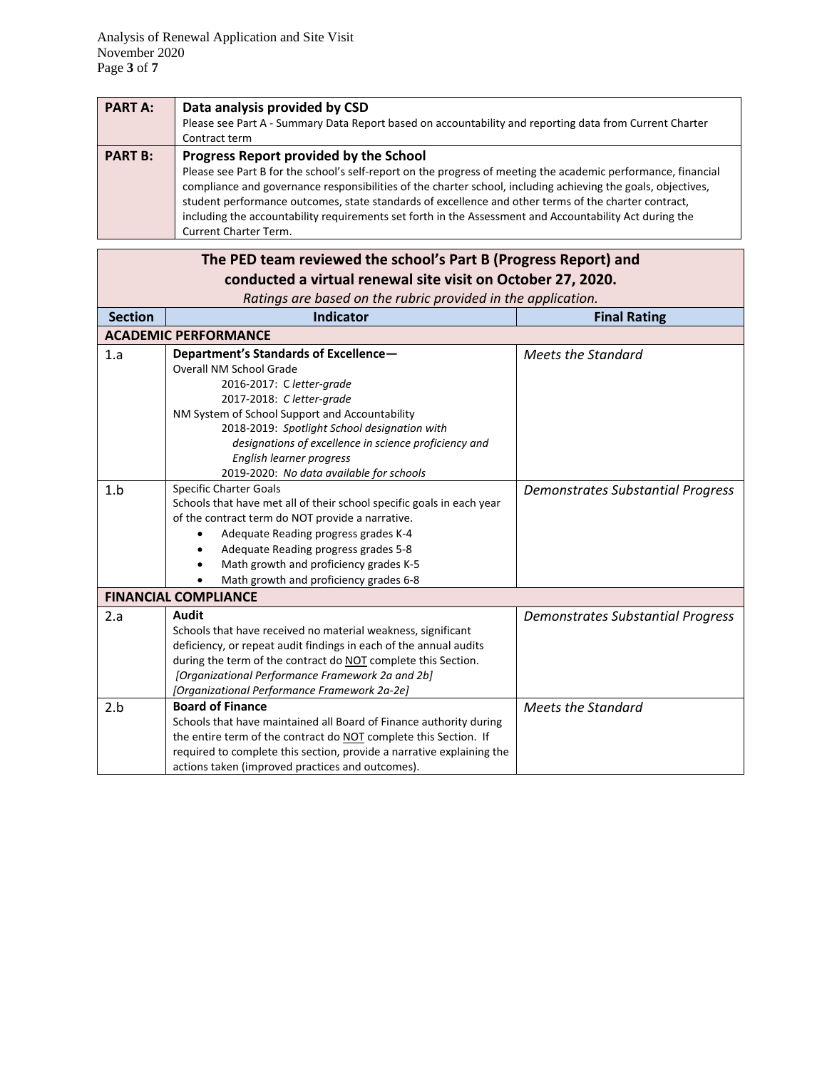| <b>PART A:</b> | Data analysis provided by CSD                                                                                 |
|----------------|---------------------------------------------------------------------------------------------------------------|
|                | Please see Part A - Summary Data Report based on accountability and reporting data from Current Charter       |
|                | Contract term                                                                                                 |
| <b>PART B:</b> | Progress Report provided by the School                                                                        |
|                | Please see Part B for the school's self-report on the progress of meeting the academic performance, financial |
|                | compliance and governance responsibilities of the charter school, including achieving the goals, objectives,  |
|                | student performance outcomes, state standards of excellence and other terms of the charter contract,          |
|                | including the accountability requirements set forth in the Assessment and Accountability Act during the       |
|                | <b>Current Charter Term.</b>                                                                                  |

| The PED team reviewed the school's Part B (Progress Report) and |                                                                       |                                          |  |  |  |
|-----------------------------------------------------------------|-----------------------------------------------------------------------|------------------------------------------|--|--|--|
| conducted a virtual renewal site visit on October 27, 2020.     |                                                                       |                                          |  |  |  |
| Ratings are based on the rubric provided in the application.    |                                                                       |                                          |  |  |  |
| <b>Section</b>                                                  | <b>Indicator</b>                                                      | <b>Final Rating</b>                      |  |  |  |
|                                                                 | <b>ACADEMIC PERFORMANCE</b>                                           |                                          |  |  |  |
| 1.a                                                             | Department's Standards of Excellence-                                 | <b>Meets the Standard</b>                |  |  |  |
|                                                                 | Overall NM School Grade                                               |                                          |  |  |  |
|                                                                 | 2016-2017: C letter-grade                                             |                                          |  |  |  |
|                                                                 | 2017-2018: Cletter-grade                                              |                                          |  |  |  |
|                                                                 | NM System of School Support and Accountability                        |                                          |  |  |  |
|                                                                 | 2018-2019: Spotlight School designation with                          |                                          |  |  |  |
|                                                                 | designations of excellence in science proficiency and                 |                                          |  |  |  |
|                                                                 | English learner progress                                              |                                          |  |  |  |
|                                                                 | 2019-2020: No data available for schools                              |                                          |  |  |  |
| 1.b                                                             | <b>Specific Charter Goals</b>                                         | <b>Demonstrates Substantial Progress</b> |  |  |  |
|                                                                 | Schools that have met all of their school specific goals in each year |                                          |  |  |  |
|                                                                 | of the contract term do NOT provide a narrative.                      |                                          |  |  |  |
|                                                                 | Adequate Reading progress grades K-4                                  |                                          |  |  |  |
|                                                                 | Adequate Reading progress grades 5-8                                  |                                          |  |  |  |
|                                                                 | Math growth and proficiency grades K-5                                |                                          |  |  |  |
|                                                                 | Math growth and proficiency grades 6-8                                |                                          |  |  |  |
|                                                                 | <b>FINANCIAL COMPLIANCE</b>                                           |                                          |  |  |  |
| 2.a                                                             | Audit                                                                 | <b>Demonstrates Substantial Progress</b> |  |  |  |
|                                                                 | Schools that have received no material weakness, significant          |                                          |  |  |  |
|                                                                 | deficiency, or repeat audit findings in each of the annual audits     |                                          |  |  |  |
|                                                                 | during the term of the contract do NOT complete this Section.         |                                          |  |  |  |
|                                                                 | [Organizational Performance Framework 2a and 2b]                      |                                          |  |  |  |
|                                                                 | [Organizational Performance Framework 2a-2e]                          |                                          |  |  |  |
| 2.b                                                             | <b>Board of Finance</b>                                               | <b>Meets the Standard</b>                |  |  |  |
|                                                                 | Schools that have maintained all Board of Finance authority during    |                                          |  |  |  |
|                                                                 | the entire term of the contract do NOT complete this Section. If      |                                          |  |  |  |
|                                                                 | required to complete this section, provide a narrative explaining the |                                          |  |  |  |
|                                                                 | actions taken (improved practices and outcomes).                      |                                          |  |  |  |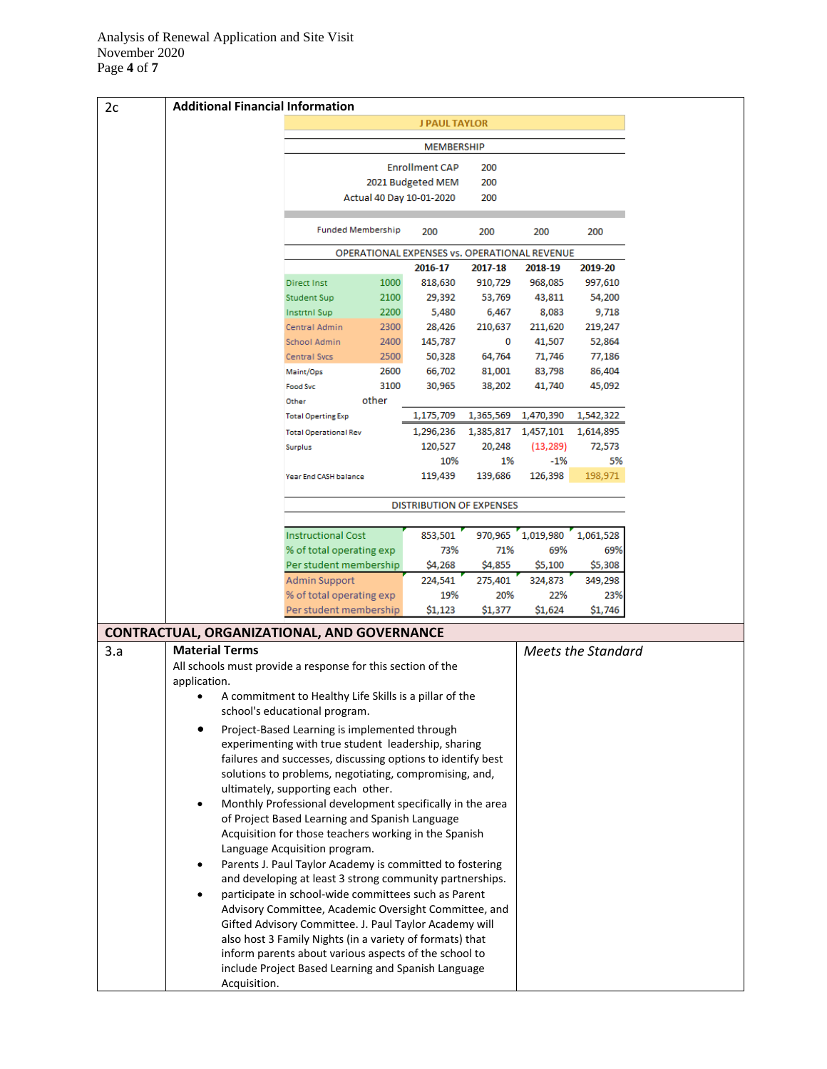| 2c  | <b>Additional Financial Information</b>                                                                            |                                                                                                              |              |                                              |                     |                   |                           |
|-----|--------------------------------------------------------------------------------------------------------------------|--------------------------------------------------------------------------------------------------------------|--------------|----------------------------------------------|---------------------|-------------------|---------------------------|
|     |                                                                                                                    |                                                                                                              |              | <b>J PAUL TAYLOR</b>                         |                     |                   |                           |
|     |                                                                                                                    |                                                                                                              |              | <b>MEMBERSHIP</b>                            |                     |                   |                           |
|     |                                                                                                                    |                                                                                                              |              | <b>Enrollment CAP</b>                        | 200                 |                   |                           |
|     |                                                                                                                    |                                                                                                              |              | 2021 Budgeted MEM                            | 200                 |                   |                           |
|     |                                                                                                                    |                                                                                                              |              | Actual 40 Day 10-01-2020                     | 200                 |                   |                           |
|     |                                                                                                                    |                                                                                                              |              |                                              |                     |                   |                           |
|     |                                                                                                                    | <b>Funded Membership</b>                                                                                     |              | 200                                          | 200                 | 200               | 200                       |
|     |                                                                                                                    |                                                                                                              |              | OPERATIONAL EXPENSES vs. OPERATIONAL REVENUE |                     |                   |                           |
|     |                                                                                                                    |                                                                                                              |              | 2016-17                                      | 2017-18             | 2018-19           | 2019-20                   |
|     |                                                                                                                    | <b>Direct Inst</b>                                                                                           | 1000         | 818,630                                      | 910,729             | 968,085           | 997,610                   |
|     |                                                                                                                    | <b>Student Sup</b>                                                                                           | 2100         | 29,392                                       | 53,769              | 43,811            | 54,200                    |
|     |                                                                                                                    | <b>Instrtnl Sup</b><br>Central Admin                                                                         | 2200<br>2300 | 5,480                                        | 6,467               | 8,083             | 9,718                     |
|     |                                                                                                                    | School Admin                                                                                                 | 2400         | 28,426<br>145,787                            | 210,637<br>0        | 211,620<br>41,507 | 219,247                   |
|     |                                                                                                                    | <b>Central Svcs</b>                                                                                          | 2500         | 50,328                                       | 64,764              | 71,746            | 52,864<br>77,186          |
|     |                                                                                                                    | Maint/Ops                                                                                                    | 2600         | 66,702                                       | 81,001              | 83,798            | 86,404                    |
|     |                                                                                                                    | <b>Food Svc</b>                                                                                              | 3100         | 30,965                                       | 38,202              | 41,740            | 45,092                    |
|     |                                                                                                                    | Other                                                                                                        | other        |                                              |                     |                   |                           |
|     |                                                                                                                    | <b>Total Operting Exp</b>                                                                                    |              | 1,175,709                                    | 1,365,569           | 1,470,390         | 1,542,322                 |
|     |                                                                                                                    | <b>Total Operational Rev</b>                                                                                 |              | 1,296,236                                    | 1,385,817 1,457,101 |                   | 1,614,895                 |
|     |                                                                                                                    | <b>Surplus</b>                                                                                               |              | 120,527                                      | 20,248              | (13, 289)         | 72,573                    |
|     |                                                                                                                    |                                                                                                              |              | 10%                                          | 1%                  | $-1%$             | 5%                        |
|     |                                                                                                                    | Year End CASH balance                                                                                        |              | 119,439                                      | 139,686             | 126,398           | 198,971                   |
|     |                                                                                                                    |                                                                                                              |              | <b>DISTRIBUTION OF EXPENSES</b>              |                     |                   |                           |
|     |                                                                                                                    |                                                                                                              |              |                                              |                     |                   |                           |
|     |                                                                                                                    | <b>Instructional Cost</b>                                                                                    |              | 853,501                                      | 970,965             | 1,019,980         | 1,061,528                 |
|     |                                                                                                                    | % of total operating exp                                                                                     |              | 73%                                          | 71%                 | 69%               | 69%                       |
|     |                                                                                                                    | Per student membership                                                                                       |              | \$4,268                                      | \$4,855             | \$5,100           | \$5,308                   |
|     |                                                                                                                    | <b>Admin Support</b>                                                                                         |              | 224,541                                      | 275,401             | 324,873           | 349,298                   |
|     |                                                                                                                    | % of total operating exp<br>Per student membership                                                           |              | 19%<br>\$1,123                               | 20%<br>\$1,377      | 22%<br>\$1,624    | 23%<br>\$1,746            |
|     |                                                                                                                    |                                                                                                              |              |                                              |                     |                   |                           |
|     | <b>CONTRACTUAL, ORGANIZATIONAL, AND GOVERNANCE</b>                                                                 |                                                                                                              |              |                                              |                     |                   |                           |
| 3.a | <b>Material Terms</b>                                                                                              |                                                                                                              |              |                                              |                     |                   | <b>Meets the Standard</b> |
|     | All schools must provide a response for this section of the<br>application.                                        |                                                                                                              |              |                                              |                     |                   |                           |
|     |                                                                                                                    | A commitment to Healthy Life Skills is a pillar of the                                                       |              |                                              |                     |                   |                           |
|     |                                                                                                                    | school's educational program.                                                                                |              |                                              |                     |                   |                           |
|     |                                                                                                                    |                                                                                                              |              |                                              |                     |                   |                           |
|     |                                                                                                                    | Project-Based Learning is implemented through                                                                |              |                                              |                     |                   |                           |
|     | experimenting with true student leadership, sharing<br>failures and successes, discussing options to identify best |                                                                                                              |              |                                              |                     |                   |                           |
|     |                                                                                                                    | solutions to problems, negotiating, compromising, and,                                                       |              |                                              |                     |                   |                           |
|     |                                                                                                                    | ultimately, supporting each other.                                                                           |              |                                              |                     |                   |                           |
|     |                                                                                                                    | Monthly Professional development specifically in the area                                                    |              |                                              |                     |                   |                           |
|     |                                                                                                                    | of Project Based Learning and Spanish Language                                                               |              |                                              |                     |                   |                           |
|     |                                                                                                                    | Acquisition for those teachers working in the Spanish                                                        |              |                                              |                     |                   |                           |
|     |                                                                                                                    | Language Acquisition program.                                                                                |              |                                              |                     |                   |                           |
|     | ٠                                                                                                                  | Parents J. Paul Taylor Academy is committed to fostering                                                     |              |                                              |                     |                   |                           |
|     |                                                                                                                    | and developing at least 3 strong community partnerships.                                                     |              |                                              |                     |                   |                           |
|     | $\bullet$                                                                                                          | participate in school-wide committees such as Parent                                                         |              |                                              |                     |                   |                           |
|     |                                                                                                                    | Advisory Committee, Academic Oversight Committee, and                                                        |              |                                              |                     |                   |                           |
|     |                                                                                                                    | Gifted Advisory Committee. J. Paul Taylor Academy will                                                       |              |                                              |                     |                   |                           |
|     |                                                                                                                    | also host 3 Family Nights (in a variety of formats) that                                                     |              |                                              |                     |                   |                           |
|     |                                                                                                                    | inform parents about various aspects of the school to<br>include Project Based Learning and Spanish Language |              |                                              |                     |                   |                           |
|     |                                                                                                                    |                                                                                                              |              |                                              |                     |                   |                           |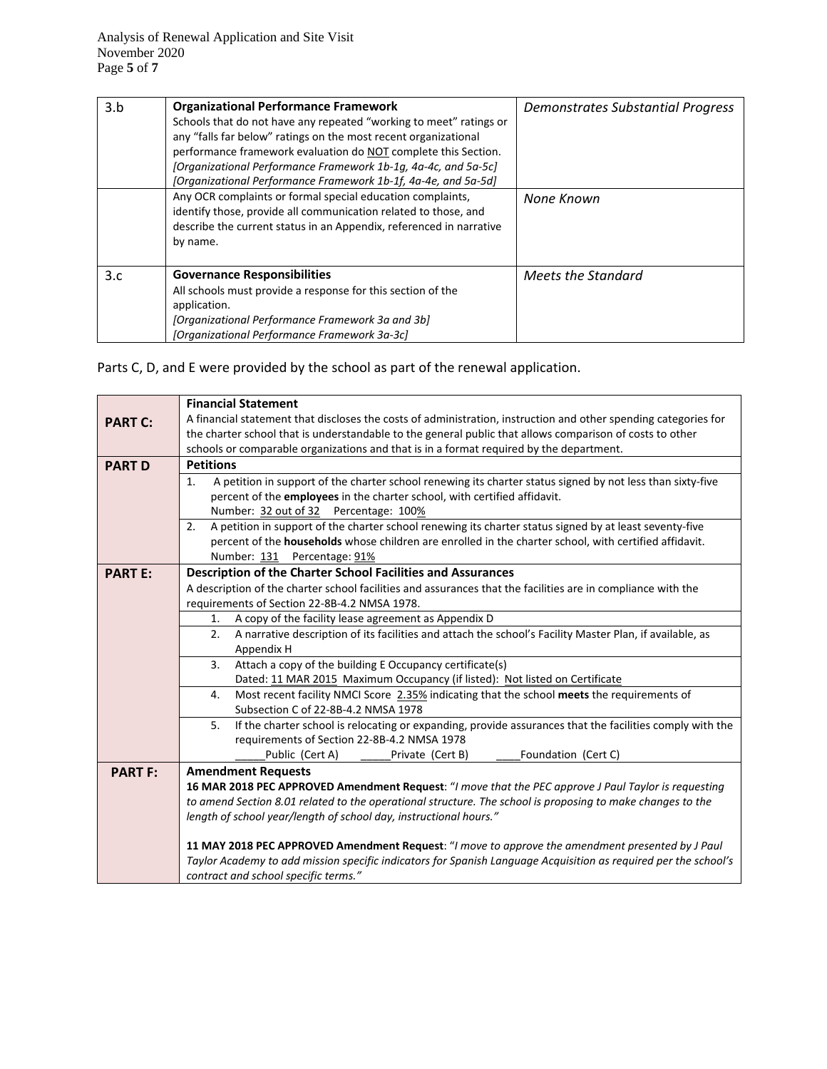| 3.b | <b>Organizational Performance Framework</b><br>Schools that do not have any repeated "working to meet" ratings or<br>any "falls far below" ratings on the most recent organizational<br>performance framework evaluation do NOT complete this Section.<br>[Organizational Performance Framework 1b-1g, 4a-4c, and 5a-5c]<br>[Organizational Performance Framework 1b-1f, 4a-4e, and 5a-5d] | Demonstrates Substantial Progress |
|-----|--------------------------------------------------------------------------------------------------------------------------------------------------------------------------------------------------------------------------------------------------------------------------------------------------------------------------------------------------------------------------------------------|-----------------------------------|
|     | Any OCR complaints or formal special education complaints,<br>identify those, provide all communication related to those, and<br>describe the current status in an Appendix, referenced in narrative<br>by name.                                                                                                                                                                           | None Known                        |
| 3.c | <b>Governance Responsibilities</b><br>All schools must provide a response for this section of the<br>application.<br>[Organizational Performance Framework 3a and 3b]<br>[Organizational Performance Framework 3a-3c]                                                                                                                                                                      | Meets the Standard                |

Parts C, D, and E were provided by the school as part of the renewal application.

|                | <b>Financial Statement</b>                                                                                       |  |  |  |  |  |  |  |  |
|----------------|------------------------------------------------------------------------------------------------------------------|--|--|--|--|--|--|--|--|
| <b>PART C:</b> | A financial statement that discloses the costs of administration, instruction and other spending categories for  |  |  |  |  |  |  |  |  |
|                | the charter school that is understandable to the general public that allows comparison of costs to other         |  |  |  |  |  |  |  |  |
|                | schools or comparable organizations and that is in a format required by the department.                          |  |  |  |  |  |  |  |  |
| <b>PART D</b>  | <b>Petitions</b>                                                                                                 |  |  |  |  |  |  |  |  |
|                | A petition in support of the charter school renewing its charter status signed by not less than sixty-five<br>1. |  |  |  |  |  |  |  |  |
|                | percent of the employees in the charter school, with certified affidavit.                                        |  |  |  |  |  |  |  |  |
|                | Number: 32 out of 32 Percentage: 100%                                                                            |  |  |  |  |  |  |  |  |
|                | A petition in support of the charter school renewing its charter status signed by at least seventy-five<br>2.    |  |  |  |  |  |  |  |  |
|                | percent of the households whose children are enrolled in the charter school, with certified affidavit.           |  |  |  |  |  |  |  |  |
|                | Number: 131 Percentage: 91%                                                                                      |  |  |  |  |  |  |  |  |
| <b>PART E:</b> | Description of the Charter School Facilities and Assurances                                                      |  |  |  |  |  |  |  |  |
|                | A description of the charter school facilities and assurances that the facilities are in compliance with the     |  |  |  |  |  |  |  |  |
|                | requirements of Section 22-8B-4.2 NMSA 1978.                                                                     |  |  |  |  |  |  |  |  |
|                | A copy of the facility lease agreement as Appendix D<br>1.                                                       |  |  |  |  |  |  |  |  |
|                | A narrative description of its facilities and attach the school's Facility Master Plan, if available, as<br>2.   |  |  |  |  |  |  |  |  |
|                | Appendix H                                                                                                       |  |  |  |  |  |  |  |  |
|                | Attach a copy of the building E Occupancy certificate(s)<br>3.                                                   |  |  |  |  |  |  |  |  |
|                | Dated: 11 MAR 2015 Maximum Occupancy (if listed): Not listed on Certificate                                      |  |  |  |  |  |  |  |  |
|                | Most recent facility NMCI Score 2.35% indicating that the school meets the requirements of<br>4.                 |  |  |  |  |  |  |  |  |
|                | Subsection C of 22-8B-4.2 NMSA 1978                                                                              |  |  |  |  |  |  |  |  |
|                | 5.<br>If the charter school is relocating or expanding, provide assurances that the facilities comply with the   |  |  |  |  |  |  |  |  |
|                | requirements of Section 22-8B-4.2 NMSA 1978                                                                      |  |  |  |  |  |  |  |  |
|                | Public (Cert A)<br>Foundation (Cert C)<br>Private (Cert B)                                                       |  |  |  |  |  |  |  |  |
| <b>PART F:</b> | <b>Amendment Requests</b>                                                                                        |  |  |  |  |  |  |  |  |
|                | 16 MAR 2018 PEC APPROVED Amendment Request: "I move that the PEC approve J Paul Taylor is requesting             |  |  |  |  |  |  |  |  |
|                | to amend Section 8.01 related to the operational structure. The school is proposing to make changes to the       |  |  |  |  |  |  |  |  |
|                | length of school year/length of school day, instructional hours."                                                |  |  |  |  |  |  |  |  |
|                |                                                                                                                  |  |  |  |  |  |  |  |  |
|                | 11 MAY 2018 PEC APPROVED Amendment Request: "I move to approve the amendment presented by J Paul                 |  |  |  |  |  |  |  |  |
|                | Taylor Academy to add mission specific indicators for Spanish Language Acquisition as required per the school's  |  |  |  |  |  |  |  |  |
|                | contract and school specific terms."                                                                             |  |  |  |  |  |  |  |  |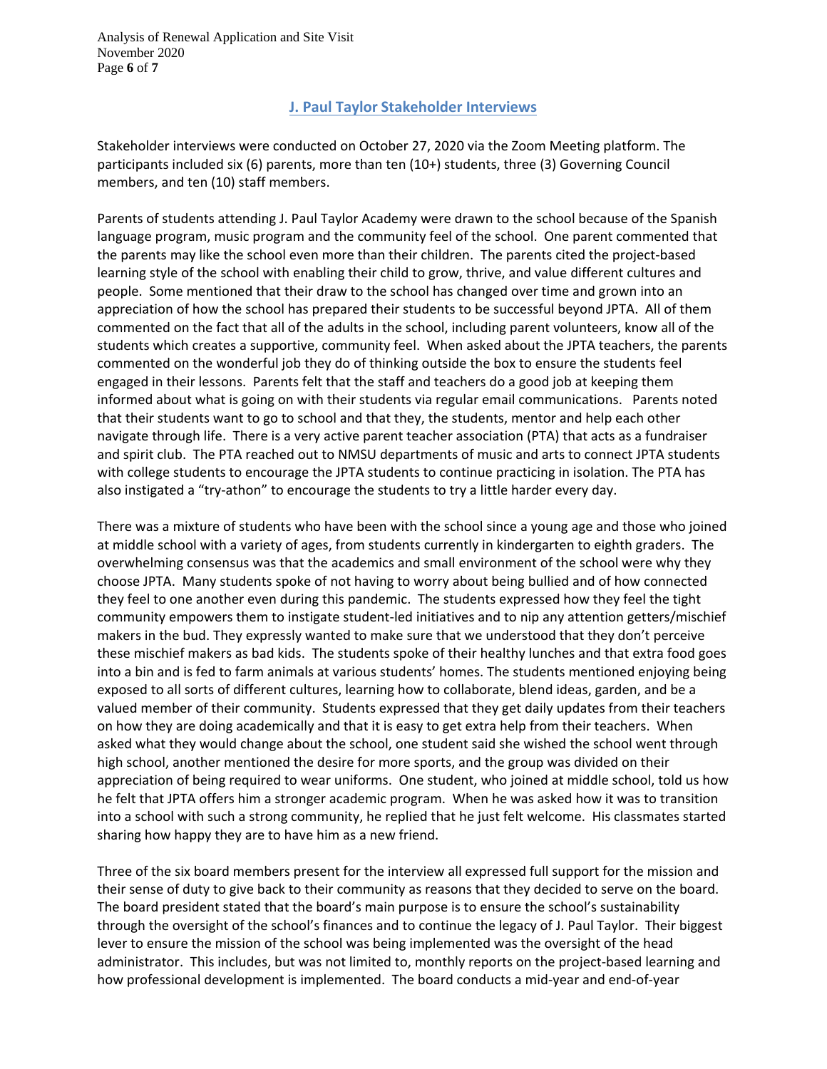Analysis of Renewal Application and Site Visit November 2020 Page **6** of **7**

## **J. Paul Taylor Stakeholder Interviews**

Stakeholder interviews were conducted on October 27, 2020 via the Zoom Meeting platform. The participants included six (6) parents, more than ten (10+) students, three (3) Governing Council members, and ten (10) staff members.

Parents of students attending J. Paul Taylor Academy were drawn to the school because of the Spanish language program, music program and the community feel of the school. One parent commented that the parents may like the school even more than their children. The parents cited the project-based learning style of the school with enabling their child to grow, thrive, and value different cultures and people. Some mentioned that their draw to the school has changed over time and grown into an appreciation of how the school has prepared their students to be successful beyond JPTA. All of them commented on the fact that all of the adults in the school, including parent volunteers, know all of the students which creates a supportive, community feel. When asked about the JPTA teachers, the parents commented on the wonderful job they do of thinking outside the box to ensure the students feel engaged in their lessons. Parents felt that the staff and teachers do a good job at keeping them informed about what is going on with their students via regular email communications. Parents noted that their students want to go to school and that they, the students, mentor and help each other navigate through life. There is a very active parent teacher association (PTA) that acts as a fundraiser and spirit club. The PTA reached out to NMSU departments of music and arts to connect JPTA students with college students to encourage the JPTA students to continue practicing in isolation. The PTA has also instigated a "try-athon" to encourage the students to try a little harder every day.

There was a mixture of students who have been with the school since a young age and those who joined at middle school with a variety of ages, from students currently in kindergarten to eighth graders. The overwhelming consensus was that the academics and small environment of the school were why they choose JPTA. Many students spoke of not having to worry about being bullied and of how connected they feel to one another even during this pandemic. The students expressed how they feel the tight community empowers them to instigate student-led initiatives and to nip any attention getters/mischief makers in the bud. They expressly wanted to make sure that we understood that they don't perceive these mischief makers as bad kids. The students spoke of their healthy lunches and that extra food goes into a bin and is fed to farm animals at various students' homes. The students mentioned enjoying being exposed to all sorts of different cultures, learning how to collaborate, blend ideas, garden, and be a valued member of their community. Students expressed that they get daily updates from their teachers on how they are doing academically and that it is easy to get extra help from their teachers. When asked what they would change about the school, one student said she wished the school went through high school, another mentioned the desire for more sports, and the group was divided on their appreciation of being required to wear uniforms. One student, who joined at middle school, told us how he felt that JPTA offers him a stronger academic program. When he was asked how it was to transition into a school with such a strong community, he replied that he just felt welcome. His classmates started sharing how happy they are to have him as a new friend.

Three of the six board members present for the interview all expressed full support for the mission and their sense of duty to give back to their community as reasons that they decided to serve on the board. The board president stated that the board's main purpose is to ensure the school's sustainability through the oversight of the school's finances and to continue the legacy of J. Paul Taylor. Their biggest lever to ensure the mission of the school was being implemented was the oversight of the head administrator. This includes, but was not limited to, monthly reports on the project-based learning and how professional development is implemented. The board conducts a mid-year and end-of-year